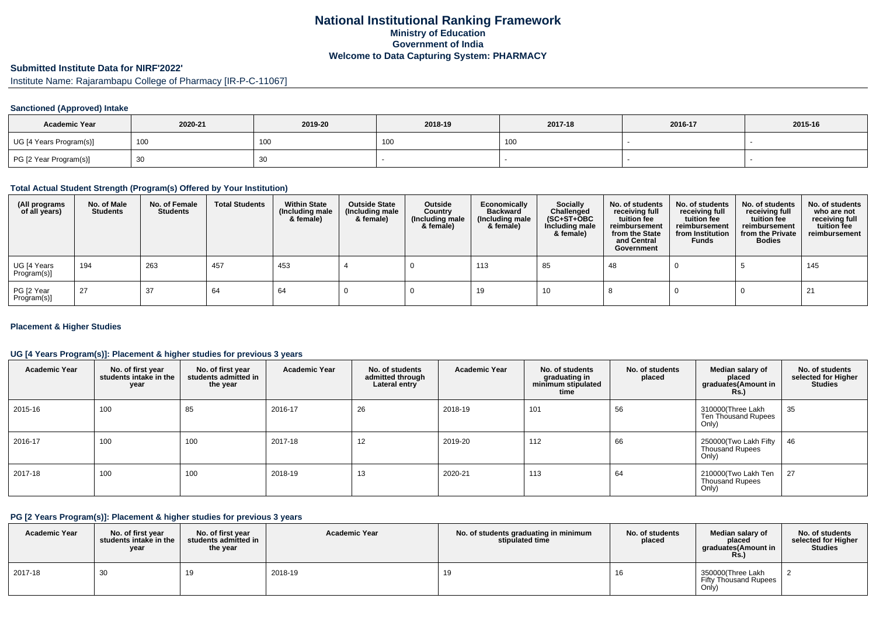## **National Institutional Ranking FrameworkMinistry of Education Government of IndiaWelcome to Data Capturing System: PHARMACY**

# **Submitted Institute Data for NIRF'2022'**

Institute Name: Rajarambapu College of Pharmacy [IR-P-C-11067]

#### **Sanctioned (Approved) Intake**

| <b>Academic Year</b>    | 2020-21 | 2019-20 | 2018-19 | 2017-18 | 2016-17 | 2015-16 |
|-------------------------|---------|---------|---------|---------|---------|---------|
| UG [4 Years Program(s)] | 100     | 100     | , UU    | 100     |         |         |
| PG [2 Year Program(s)]  | ັບບ     | 30      |         |         |         |         |

#### **Total Actual Student Strength (Program(s) Offered by Your Institution)**

| (All programs<br>of all years) | No. of Male<br><b>Students</b> | No. of Female<br>Students | <b>Total Students</b> | <b>Within State</b><br>(Including male<br>& female) | <b>Outside State</b><br>(Including male<br>& female) | Outside<br>Country<br>(Including male<br>& female) | Economically<br><b>Backward</b><br>(Including male<br>& female) | <b>Socially</b><br>Challenged<br>$(SC+ST+OBC)$<br>Including male<br>& female) | No. of students<br>receiving full<br>tuition fee<br>reimbursement<br>from the State<br>and Central<br>Government | No. of students<br>receiving full<br>tuition fee<br>reimbursement<br>from Institution<br><b>Funds</b> | No. of students<br>receiving full<br>tuition fee<br>reimbursement<br>from the Private<br><b>Bodies</b> | No. of students<br>who are not<br>receiving full<br>tuition fee<br>reimbursement |
|--------------------------------|--------------------------------|---------------------------|-----------------------|-----------------------------------------------------|------------------------------------------------------|----------------------------------------------------|-----------------------------------------------------------------|-------------------------------------------------------------------------------|------------------------------------------------------------------------------------------------------------------|-------------------------------------------------------------------------------------------------------|--------------------------------------------------------------------------------------------------------|----------------------------------------------------------------------------------|
| UG [4 Years<br>Program(s)]     | 194                            | 263                       | 457                   | 453                                                 |                                                      |                                                    | 113                                                             | 85                                                                            | 48                                                                                                               |                                                                                                       |                                                                                                        | 145                                                                              |
| PG [2 Year<br>Program(s)]      | 27                             | 37                        | 64                    | 64                                                  |                                                      |                                                    | 19                                                              | 10                                                                            |                                                                                                                  |                                                                                                       |                                                                                                        | 21                                                                               |

#### **Placement & Higher Studies**

#### **UG [4 Years Program(s)]: Placement & higher studies for previous 3 years**

| <b>Academic Year</b> | No. of first year<br>students intake in the<br>year | No. of first year<br>students admitted in<br>the year | <b>Academic Year</b> | No. of students<br>admitted through<br>Lateral entry | <b>Academic Year</b> | No. of students<br>graduating in<br>minimum stipulated<br>time | No. of students<br>placed | Median salary of<br>placed<br>graduates (Amount in<br><b>Rs.)</b> | No. of students<br>selected for Higher<br><b>Studies</b> |
|----------------------|-----------------------------------------------------|-------------------------------------------------------|----------------------|------------------------------------------------------|----------------------|----------------------------------------------------------------|---------------------------|-------------------------------------------------------------------|----------------------------------------------------------|
| 2015-16              | 100                                                 | 85                                                    | 2016-17              | 26                                                   | 2018-19              | 101                                                            | 56                        | 310000(Three Lakh<br>Ten Thousand Rupees<br>Only)                 | 35                                                       |
| 2016-17              | 100                                                 | 100                                                   | 2017-18              | $\sqrt{2}$<br>14                                     | 2019-20              | 112                                                            | 66                        | 250000(Two Lakh Fifty<br><b>Thousand Rupees</b><br>Only)          | 46                                                       |
| 2017-18              | 100                                                 | 100                                                   | 2018-19              | 13                                                   | 2020-21              | 113                                                            | 64                        | 210000(Two Lakh Ten<br><b>Thousand Rupees</b><br>Only)            | 27                                                       |

#### **PG [2 Years Program(s)]: Placement & higher studies for previous 3 years**

| <b>Academic Year</b> | No. of first vear<br>students intake in the<br>year | No. of first year<br>students admitted in<br>the year | <b>Academic Year</b> | No. of students graduating in minimum<br>stipulated time | No. of students<br>placed | Median salary of<br>placed<br>araduates(Amount in<br><b>Rs.</b> ) | No. of students<br>selected for Higher<br><b>Studies</b> |
|----------------------|-----------------------------------------------------|-------------------------------------------------------|----------------------|----------------------------------------------------------|---------------------------|-------------------------------------------------------------------|----------------------------------------------------------|
| 2017-18              | 30                                                  |                                                       | 2018-19              | 19                                                       |                           | 350000(Three Lakh<br><b>Fifty Thousand Rupees</b><br>Only)        |                                                          |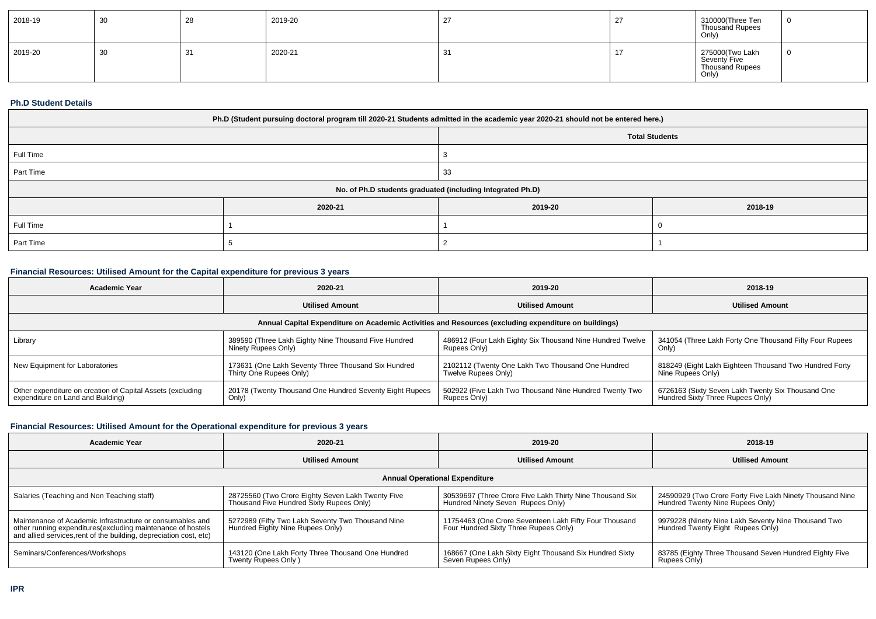| 2018-19 | 30 | $\sim$<br>-40 | 2019-20 | 27<br><u>_</u> | 310000(Three Ten<br>Thousand Rupees<br>Only)                |  |
|---------|----|---------------|---------|----------------|-------------------------------------------------------------|--|
| 2019-20 | 30 | 31            | 2020-21 | 2.<br>ັບ       | 275000(Two Lakh<br>Seventy Five<br>Thousand Rupees<br>Only) |  |

#### **Ph.D Student Details**

| Ph.D (Student pursuing doctoral program till 2020-21 Students admitted in the academic year 2020-21 should not be entered here.) |         |         |                       |  |
|----------------------------------------------------------------------------------------------------------------------------------|---------|---------|-----------------------|--|
|                                                                                                                                  |         |         | <b>Total Students</b> |  |
| Full Time                                                                                                                        |         |         |                       |  |
| Part Time                                                                                                                        |         | 33      |                       |  |
| No. of Ph.D students graduated (including Integrated Ph.D)                                                                       |         |         |                       |  |
|                                                                                                                                  | 2020-21 | 2019-20 | 2018-19               |  |
| Full Time                                                                                                                        |         |         |                       |  |
| Part Time                                                                                                                        |         |         |                       |  |

## **Financial Resources: Utilised Amount for the Capital expenditure for previous 3 years**

| Academic Year                                                                                        | 2020-21                                                 | 2019-20                                                   | 2018-19                                                 |  |  |  |  |
|------------------------------------------------------------------------------------------------------|---------------------------------------------------------|-----------------------------------------------------------|---------------------------------------------------------|--|--|--|--|
|                                                                                                      | <b>Utilised Amount</b>                                  | <b>Utilised Amount</b>                                    | <b>Utilised Amount</b>                                  |  |  |  |  |
| Annual Capital Expenditure on Academic Activities and Resources (excluding expenditure on buildings) |                                                         |                                                           |                                                         |  |  |  |  |
| Library                                                                                              | 389590 (Three Lakh Eighty Nine Thousand Five Hundred    | 486912 (Four Lakh Eighty Six Thousand Nine Hundred Twelve | 341054 (Three Lakh Forty One Thousand Fifty Four Rupees |  |  |  |  |
|                                                                                                      | Ninety Rupees Only)                                     | Rupees Only)                                              | Only)                                                   |  |  |  |  |
| New Equipment for Laboratories                                                                       | 173631 (One Lakh Seventy Three Thousand Six Hundred     | 2102112 (Twenty One Lakh Two Thousand One Hundred         | 818249 (Eight Lakh Eighteen Thousand Two Hundred Forty  |  |  |  |  |
|                                                                                                      | Thirty One Rupees Only)                                 | Twelve Rupees Only)                                       | Nine Rupees Only)                                       |  |  |  |  |
| Other expenditure on creation of Capital Assets (excluding                                           | 20178 (Twenty Thousand One Hundred Seventy Eight Rupees | 502922 (Five Lakh Two Thousand Nine Hundred Twenty Two    | 6726163 (Sixty Seven Lakh Twenty Six Thousand One       |  |  |  |  |
| expenditure on Land and Building)                                                                    | Only)                                                   | Rupees Only)                                              | Hundred Sixty Three Rupees Only)                        |  |  |  |  |

#### **Financial Resources: Utilised Amount for the Operational expenditure for previous 3 years**

| <b>Academic Year</b>                                                                                                                                                                            | 2020-21                                                                                       | 2019-20                                                                                         | 2018-19                                                                                      |  |  |  |  |
|-------------------------------------------------------------------------------------------------------------------------------------------------------------------------------------------------|-----------------------------------------------------------------------------------------------|-------------------------------------------------------------------------------------------------|----------------------------------------------------------------------------------------------|--|--|--|--|
|                                                                                                                                                                                                 | <b>Utilised Amount</b>                                                                        | <b>Utilised Amount</b>                                                                          | <b>Utilised Amount</b>                                                                       |  |  |  |  |
| <b>Annual Operational Expenditure</b>                                                                                                                                                           |                                                                                               |                                                                                                 |                                                                                              |  |  |  |  |
| Salaries (Teaching and Non Teaching staff)                                                                                                                                                      | 28725560 (Two Crore Eighty Seven Lakh Twenty Five<br>Thousand Five Hundred Sixty Rupees Only) | 30539697 (Three Crore Five Lakh Thirty Nine Thousand Six<br>Hundred Ninety Seven Rupees Only)   | 24590929 (Two Crore Forty Five Lakh Ninety Thousand Nine<br>Hundred Twenty Nine Rupees Only) |  |  |  |  |
| Maintenance of Academic Infrastructure or consumables and<br>other running expenditures (excluding maintenance of hostels<br>and allied services, rent of the building, depreciation cost, etc) | 5272989 (Fifty Two Lakh Seventy Two Thousand Nine<br>Hundred Eighty Nine Rupees Only)         | 11754463 (One Crore Seventeen Lakh Fifty Four Thousand<br>Four Hundred Sixty Three Rupees Only) | 9979228 (Ninety Nine Lakh Seventy Nine Thousand Two<br>Hundred Twenty Eight Rupees Only)     |  |  |  |  |
| Seminars/Conferences/Workshops                                                                                                                                                                  | 143120 (One Lakh Forty Three Thousand One Hundred<br>Twenty Rupees Only)                      | 168667 (One Lakh Sixty Eight Thousand Six Hundred Sixty<br>Seven Rupees Only)                   | 83785 (Eighty Three Thousand Seven Hundred Eighty Five<br>Rupees Only)                       |  |  |  |  |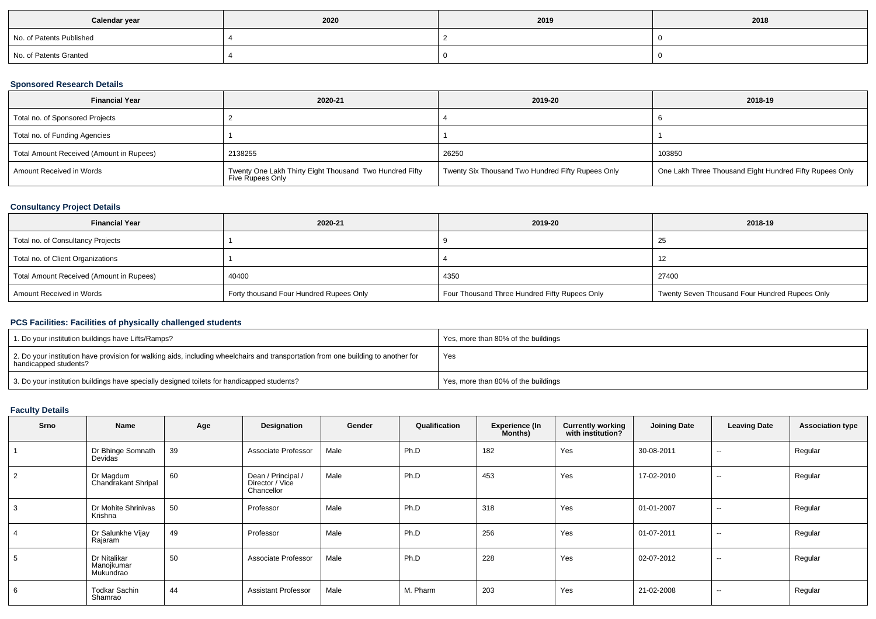| Calendar year            | 2020 | 2019 | 2018 |
|--------------------------|------|------|------|
| No. of Patents Published |      |      |      |
| No. of Patents Granted   |      |      |      |

## **Sponsored Research Details**

| <b>Financial Year</b>                    | 2020-21                                                                     | 2019-20                                           | 2018-19                                                 |
|------------------------------------------|-----------------------------------------------------------------------------|---------------------------------------------------|---------------------------------------------------------|
| Total no. of Sponsored Projects          |                                                                             |                                                   |                                                         |
| Total no. of Funding Agencies            |                                                                             |                                                   |                                                         |
| Total Amount Received (Amount in Rupees) | 2138255                                                                     | 26250                                             | 103850                                                  |
| Amount Received in Words                 | Twenty One Lakh Thirty Eight Thousand Two Hundred Fifty<br>Five Rupees Only | Twenty Six Thousand Two Hundred Fifty Rupees Only | One Lakh Three Thousand Eight Hundred Fifty Rupees Only |

## **Consultancy Project Details**

| <b>Financial Year</b>                    | 2020-21                                 | 2019-20                                       | 2018-19                                        |
|------------------------------------------|-----------------------------------------|-----------------------------------------------|------------------------------------------------|
| Total no. of Consultancy Projects        |                                         |                                               | 25                                             |
| Total no. of Client Organizations        |                                         |                                               | 12                                             |
| Total Amount Received (Amount in Rupees) | 40400                                   | 4350                                          | 27400                                          |
| Amount Received in Words                 | Forty thousand Four Hundred Rupees Only | Four Thousand Three Hundred Fifty Rupees Only | Twenty Seven Thousand Four Hundred Rupees Only |

# **PCS Facilities: Facilities of physically challenged students**

| 1. Do your institution buildings have Lifts/Ramps?                                                                                                         | Yes, more than 80% of the buildings |
|------------------------------------------------------------------------------------------------------------------------------------------------------------|-------------------------------------|
| 2. Do your institution have provision for walking aids, including wheelchairs and transportation from one building to another for<br>handicapped students? | Yes                                 |
| 3. Do your institution buildings have specially designed toilets for handicapped students?                                                                 | Yes, more than 80% of the buildings |

# **Faculty Details**

| <b>Srno</b>    | Name                                    | Age | Designation                                         | Gender | Qualification | <b>Experience (In</b><br>Months) | <b>Currently working</b><br>with institution? | <b>Joining Date</b> | <b>Leaving Date</b>      | <b>Association type</b> |
|----------------|-----------------------------------------|-----|-----------------------------------------------------|--------|---------------|----------------------------------|-----------------------------------------------|---------------------|--------------------------|-------------------------|
|                | Dr Bhinge Somnath<br>Devidas            | 39  | Associate Professor                                 | Male   | Ph.D          | 182                              | Yes                                           | 30-08-2011          | $\sim$                   | Regular                 |
| 2              | Dr Magdum<br>Chandrakant Shripal        | 60  | Dean / Principal /<br>Director / Vice<br>Chancellor | Male   | Ph.D          | 453                              | Yes                                           | 17-02-2010          | $\overline{\phantom{a}}$ | Regular                 |
| 3              | Dr Mohite Shrinivas<br>Krishna          | 50  | Professor                                           | Male   | Ph.D          | 318                              | Yes                                           | 01-01-2007          | $\overline{\phantom{a}}$ | Regular                 |
| $\overline{4}$ | Dr Salunkhe Vijay<br>Rajaram            | 49  | Professor                                           | Male   | Ph.D          | 256                              | Yes                                           | 01-07-2011          | $\sim$                   | Regular                 |
| 5              | Dr Nitalikar<br>Manojkumar<br>Mukundrao | 50  | Associate Professor                                 | Male   | Ph.D          | 228                              | Yes                                           | 02-07-2012          | $\overline{\phantom{a}}$ | Regular                 |
| 6              | <b>Todkar Sachin</b><br>Shamrao         | 44  | <b>Assistant Professor</b>                          | Male   | M. Pharm      | 203                              | Yes                                           | 21-02-2008          | --                       | Regular                 |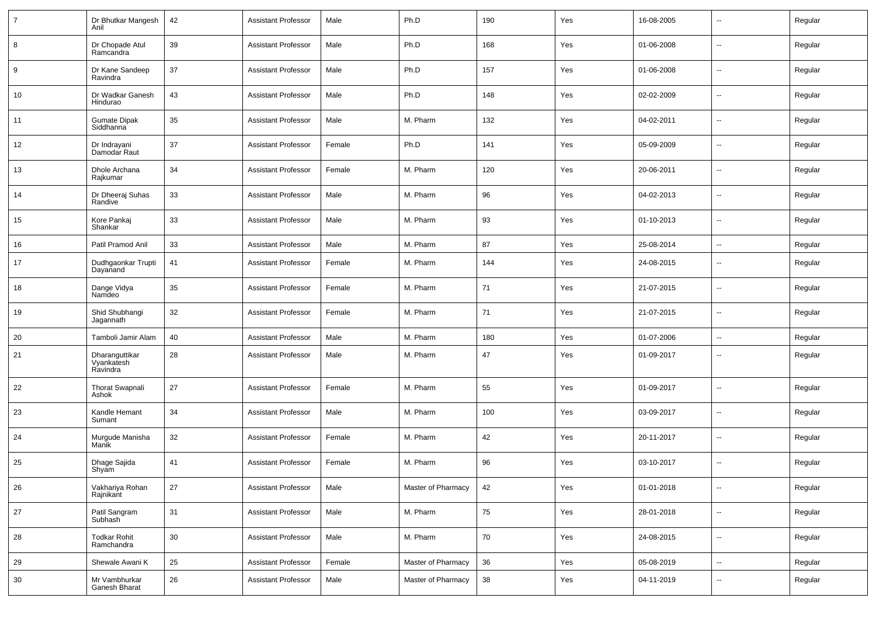| $\overline{7}$ | Dr Bhutkar Mangesh<br>Anil                    | 42 | <b>Assistant Professor</b> | Male   | Ph.D               | 190 | Yes | 16-08-2005 | $\sim$                   | Regular |
|----------------|-----------------------------------------------|----|----------------------------|--------|--------------------|-----|-----|------------|--------------------------|---------|
| 8              | Dr Chopade Atul<br>Ramcandra                  | 39 | <b>Assistant Professor</b> | Male   | Ph.D               | 168 | Yes | 01-06-2008 | $\sim$                   | Regular |
| 9              | Dr Kane Sandeep<br>Ravindra                   | 37 | <b>Assistant Professor</b> | Male   | Ph.D               | 157 | Yes | 01-06-2008 | $\sim$                   | Regular |
| 10             | Dr Wadkar Ganesh<br>Hindurao                  | 43 | <b>Assistant Professor</b> | Male   | Ph.D               | 148 | Yes | 02-02-2009 | $\sim$                   | Regular |
| 11             | <b>Gumate Dipak</b><br>Siddhanna <sup>'</sup> | 35 | <b>Assistant Professor</b> | Male   | M. Pharm           | 132 | Yes | 04-02-2011 | $\sim$                   | Regular |
| 12             | Dr Indrayani<br>Damodar Raut                  | 37 | <b>Assistant Professor</b> | Female | Ph.D               | 141 | Yes | 05-09-2009 | $\sim$                   | Regular |
| 13             | Dhole Archana<br>Rajkumar                     | 34 | <b>Assistant Professor</b> | Female | M. Pharm           | 120 | Yes | 20-06-2011 | $\sim$                   | Regular |
| 14             | Dr Dheeraj Suhas<br>Randive                   | 33 | <b>Assistant Professor</b> | Male   | M. Pharm           | 96  | Yes | 04-02-2013 | $\sim$                   | Regular |
| 15             | Kore Pankaj<br>Shankar                        | 33 | <b>Assistant Professor</b> | Male   | M. Pharm           | 93  | Yes | 01-10-2013 | $\sim$                   | Regular |
| 16             | Patil Pramod Anil                             | 33 | <b>Assistant Professor</b> | Male   | M. Pharm           | 87  | Yes | 25-08-2014 | $\sim$                   | Regular |
| 17             | Dudhgaonkar Trupti<br>Dayanand                | 41 | <b>Assistant Professor</b> | Female | M. Pharm           | 144 | Yes | 24-08-2015 | $\overline{\phantom{a}}$ | Regular |
| 18             | Dange Vidya<br>Namdeo                         | 35 | <b>Assistant Professor</b> | Female | M. Pharm           | 71  | Yes | 21-07-2015 | --                       | Regular |
| 19             | Shid Shubhangi<br>Jagannath                   | 32 | <b>Assistant Professor</b> | Female | M. Pharm           | 71  | Yes | 21-07-2015 | $\overline{\phantom{a}}$ | Regular |
| 20             | Tamboli Jamir Alam                            | 40 | <b>Assistant Professor</b> | Male   | M. Pharm           | 180 | Yes | 01-07-2006 | --                       | Regular |
| 21             | Dharanguttikar<br>Vyankatesh<br>Ravindra      | 28 | <b>Assistant Professor</b> | Male   | M. Pharm           | 47  | Yes | 01-09-2017 | --                       | Regular |
| 22             | <b>Thorat Swapnali</b><br>Ashok               | 27 | <b>Assistant Professor</b> | Female | M. Pharm           | 55  | Yes | 01-09-2017 | --                       | Regular |
| 23             | Kandle Hemant<br>Sumant                       | 34 | <b>Assistant Professor</b> | Male   | M. Pharm           | 100 | Yes | 03-09-2017 | $\overline{\phantom{a}}$ | Regular |
| 24             | Murgude Manisha<br>Manik                      | 32 | <b>Assistant Professor</b> | Female | M. Pharm           | 42  | Yes | 20-11-2017 | $\overline{\phantom{a}}$ | Regular |
| 25             | Dhage Sajida<br>Shyam                         | 41 | <b>Assistant Professor</b> | Female | M. Pharm           | 96  | Yes | 03-10-2017 | --                       | Regular |
| 26             | Vakhariya Rohan<br>Rajnikant                  | 27 | <b>Assistant Professor</b> | Male   | Master of Pharmacy | 42  | Yes | 01-01-2018 | Щ,                       | Regular |
| 27             | Patil Sangram<br>Subhash                      | 31 | <b>Assistant Professor</b> | Male   | M. Pharm           | 75  | Yes | 28-01-2018 | Щ,                       | Regular |
| 28             | Todkar Rohit<br>Ramchandra                    | 30 | <b>Assistant Professor</b> | Male   | M. Pharm           | 70  | Yes | 24-08-2015 | Ц.                       | Regular |
| 29             | Shewale Awani K                               | 25 | <b>Assistant Professor</b> | Female | Master of Pharmacy | 36  | Yes | 05-08-2019 | $\overline{\phantom{a}}$ | Regular |
| 30             | Mr Vambhurkar<br>Ganesh Bharat                | 26 | <b>Assistant Professor</b> | Male   | Master of Pharmacy | 38  | Yes | 04-11-2019 | $\overline{\phantom{a}}$ | Regular |